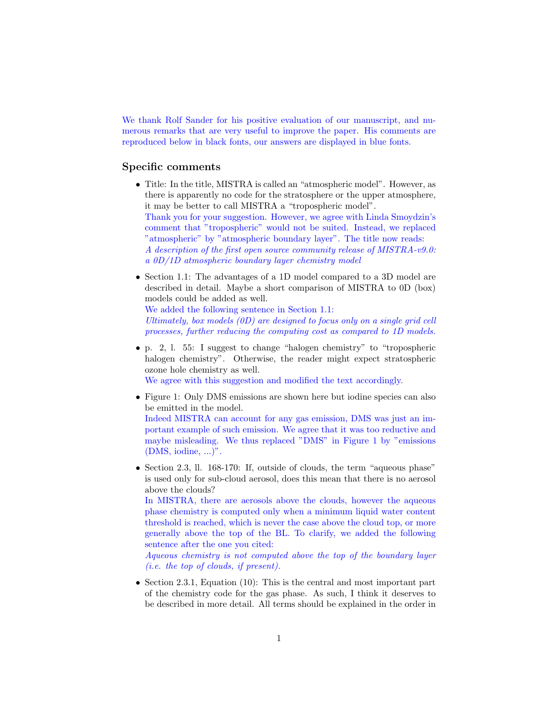We thank Rolf Sander for his positive evaluation of our manuscript, and numerous remarks that are very useful to improve the paper. His comments are reproduced below in black fonts, our answers are displayed in blue fonts.

## Specific comments

- Title: In the title, MISTRA is called an "atmospheric model". However, as there is apparently no code for the stratosphere or the upper atmosphere, it may be better to call MISTRA a "tropospheric model". Thank you for your suggestion. However, we agree with Linda Smoydzin's comment that "tropospheric" would not be suited. Instead, we replaced "atmospheric" by "atmospheric boundary layer". The title now reads: A description of the first open source community release of MISTRA-v9.0: a 0D/1D atmospheric boundary layer chemistry model
- Section 1.1: The advantages of a 1D model compared to a 3D model are described in detail. Maybe a short comparison of MISTRA to 0D (box) models could be added as well.

We added the following sentence in Section 1.1:

Ultimately, box models (0D) are designed to focus only on a single grid cell processes, further reducing the computing cost as compared to 1D models.

• p. 2, l. 55: I suggest to change "halogen chemistry" to "tropospheric halogen chemistry". Otherwise, the reader might expect stratospheric ozone hole chemistry as well.

We agree with this suggestion and modified the text accordingly.

- Figure 1: Only DMS emissions are shown here but iodine species can also be emitted in the model. Indeed MISTRA can account for any gas emission, DMS was just an important example of such emission. We agree that it was too reductive and maybe misleading. We thus replaced "DMS" in Figure 1 by "emissions (DMS, iodine, ...)".
- Section 2.3, ll. 168-170: If, outside of clouds, the term "aqueous phase" is used only for sub-cloud aerosol, does this mean that there is no aerosol above the clouds?

In MISTRA, there are aerosols above the clouds, however the aqueous phase chemistry is computed only when a minimum liquid water content threshold is reached, which is never the case above the cloud top, or more generally above the top of the BL. To clarify, we added the following sentence after the one you cited:

Aqueous chemistry is not computed above the top of the boundary layer (i.e. the top of clouds, if present).

• Section 2.3.1, Equation (10): This is the central and most important part of the chemistry code for the gas phase. As such, I think it deserves to be described in more detail. All terms should be explained in the order in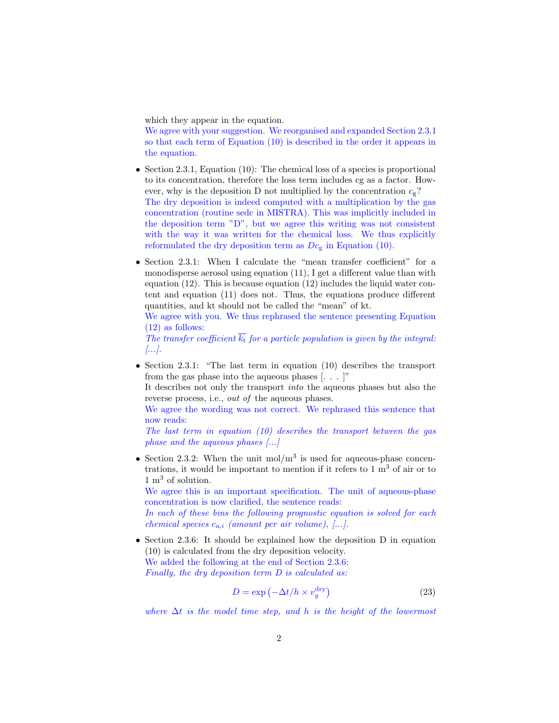which they appear in the equation.

We agree with your suggestion. We reorganised and expanded Section 2.3.1 so that each term of Equation (10) is described in the order it appears in the equation.

- Section 2.3.1, Equation (10): The chemical loss of a species is proportional to its concentration, therefore the loss term includes cg as a factor. However, why is the deposition D not multiplied by the concentration  $c_{g}$ ? The dry deposition is indeed computed with a multiplication by the gas concentration (routine sedc in MISTRA). This was implicitly included in the deposition term "D", but we agree this writing was not consistent with the way it was written for the chemical loss. We thus explicitly reformulated the dry deposition term as  $Dc<sub>g</sub>$  in Equation (10).
- Section 2.3.1: When I calculate the "mean transfer coefficient" for a monodisperse aerosol using equation (11), I get a different value than with equation  $(12)$ . This is because equation  $(12)$  includes the liquid water content and equation (11) does not. Thus, the equations produce different quantities, and kt should not be called the "mean" of kt.

We agree with you. We thus rephrased the sentence presenting Equation (12) as follows:

The transfer coefficient  $\overline{k_{t}}$  for a particle population is given by the integral: [...].

• Section 2.3.1: "The last term in equation (10) describes the transport from the gas phase into the aqueous phases  $[\dots]$ "

It describes not only the transport into the aqueous phases but also the reverse process, i.e., out of the aqueous phases.

We agree the wording was not correct. We rephrased this sentence that now reads:

The last term in equation (10) describes the transport between the gas phase and the aqueous phases [...]

• Section 2.3.2: When the unit  $\text{mol/m}^3$  is used for aqueous-phase concentrations, it would be important to mention if it refers to  $1 \text{ m}^3$  of air or to 1 m<sup>3</sup> of solution.

We agree this is an important specification. The unit of aqueous-phase concentration is now clarified, the sentence reads:

In each of these bins the following prognostic equation is solved for each chemical species  $c_{a,i}$  (amount per air volume), [...].

• Section 2.3.6: It should be explained how the deposition D in equation (10) is calculated from the dry deposition velocity. We added the following at the end of Section 2.3.6: Finally, the dry deposition term D is calculated as:

$$
D = \exp\left(-\Delta t / h \times v_g^{\text{dry}}\right) \tag{23}
$$

where  $\Delta t$  is the model time step, and h is the height of the lowermost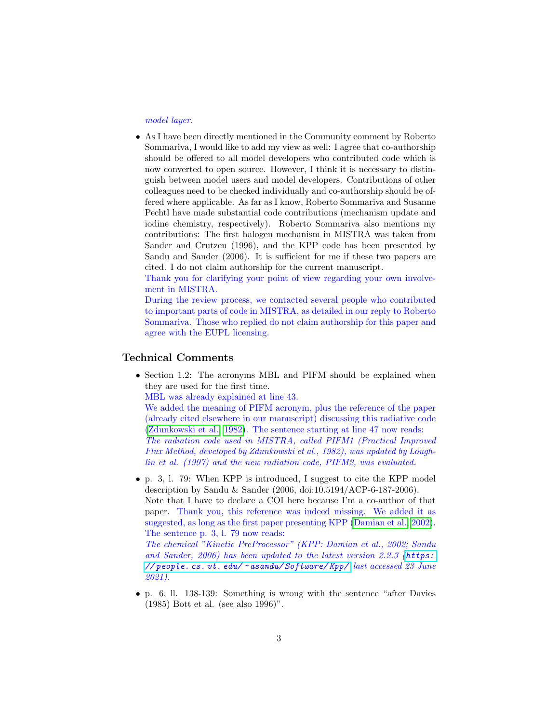model layer.

• As I have been directly mentioned in the Community comment by Roberto Sommariva, I would like to add my view as well: I agree that co-authorship should be offered to all model developers who contributed code which is now converted to open source. However, I think it is necessary to distinguish between model users and model developers. Contributions of other colleagues need to be checked individually and co-authorship should be offered where applicable. As far as I know, Roberto Sommariva and Susanne Pechtl have made substantial code contributions (mechanism update and iodine chemistry, respectively). Roberto Sommariva also mentions my contributions: The first halogen mechanism in MISTRA was taken from Sander and Crutzen (1996), and the KPP code has been presented by Sandu and Sander (2006). It is sufficient for me if these two papers are cited. I do not claim authorship for the current manuscript.

Thank you for clarifying your point of view regarding your own involvement in MISTRA.

During the review process, we contacted several people who contributed to important parts of code in MISTRA, as detailed in our reply to Roberto Sommariva. Those who replied do not claim authorship for this paper and agree with the EUPL licensing.

## Technical Comments

• Section 1.2: The acronyms MBL and PIFM should be explained when they are used for the first time.

MBL was already explained at line 43.

We added the meaning of PIFM acronym, plus the reference of the paper (already cited elsewhere in our manuscript) discussing this radiative code [\(Zdunkowski et al., 1982\)](#page-4-0). The sentence starting at line 47 now reads: The radiation code used in MISTRA, called PIFM1 (Practical Improved Flux Method, developed by Zdunkowski et al., 1982), was updated by Loughlin et al. (1997) and the new radiation code, PIFM2, was evaluated.

• p. 3, l. 79: When KPP is introduced, I suggest to cite the KPP model description by Sandu & Sander (2006, doi:10.5194/ACP-6-187-2006). Note that I have to declare a COI here because I'm a co-author of that paper. Thank you, this reference was indeed missing. We added it as suggested, as long as the first paper presenting KPP [\(Damian et al., 2002\)](#page-4-1). The sentence p. 3, l. 79 now reads:

The chemical "Kinetic PreProcessor" (KPP: Damian et al., 2002; Sandu and Sander, 2006) has been updated to the latest version 2.2.3 ([https:](https://people.cs.vt.edu/~asandu/Software/Kpp/) // people. cs.  $vt$ . edu/  $\sim$  asandu/ Software/Kpp/ last accessed 23 June 2021).

• p. 6, ll. 138-139: Something is wrong with the sentence "after Davies (1985) Bott et al. (see also 1996)".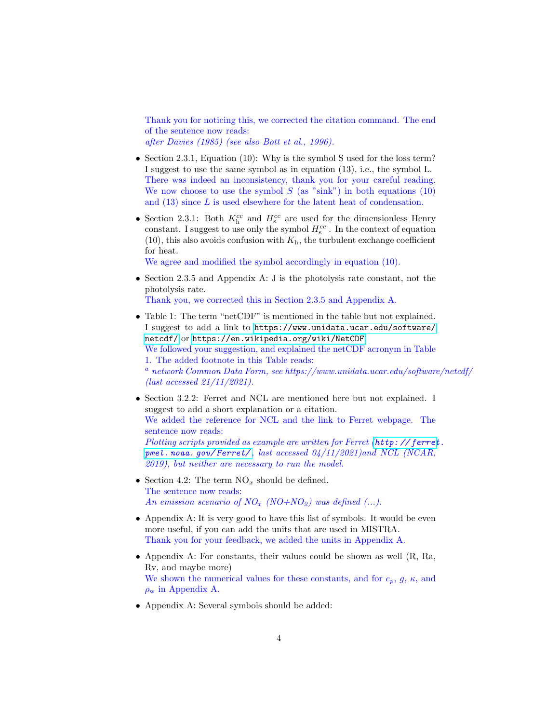Thank you for noticing this, we corrected the citation command. The end of the sentence now reads: after Davies (1985) (see also Bott et al., 1996).

- Section 2.3.1, Equation (10): Why is the symbol S used for the loss term? I suggest to use the same symbol as in equation (13), i.e., the symbol L. There was indeed an inconsistency, thank you for your careful reading. We now choose to use the symbol  $S$  (as "sink") in both equations (10) and (13) since L is used elsewhere for the latent heat of condensation.
- Section 2.3.1: Both  $K<sub>h</sub><sup>cc</sup>$  and  $H<sub>s</sub><sup>cc</sup>$  are used for the dimensionless Henry constant. I suggest to use only the symbol  $H_s^{cc}$  . In the context of equation (10), this also avoids confusion with  $K<sub>h</sub>$ , the turbulent exchange coefficient for heat.

We agree and modified the symbol accordingly in equation  $(10)$ .

- Section 2.3.5 and Appendix A: J is the photolysis rate constant, not the photolysis rate. Thank you, we corrected this in Section 2.3.5 and Appendix A.
- Table 1: The term "netCDF" is mentioned in the table but not explained. I suggest to add a link to [https://www.unidata.ucar.edu/software/](https://www.unidata.ucar.edu/software/netcdf/) [netcdf/](https://www.unidata.ucar.edu/software/netcdf/) or <https://en.wikipedia.org/wiki/NetCDF>. We followed your suggestion, and explained the netCDF acronym in Table 1. The added footnote in this Table reads:  $a<sup>a</sup>$  network Common Data Form, see https://www.unidata.ucar.edu/software/netcdf/ (last accessed 21/11/2021).
- Section 3.2.2: Ferret and NCL are mentioned here but not explained. I suggest to add a short explanation or a citation. We added the reference for NCL and the link to Ferret webpage. The sentence now reads: Plotting scripts provided as example are written for Ferret (http://ferret. pmel. noaa. qov/Ferret/, last accessed  $04/11/2021$ )and NCL (NCAR, 2019), but neither are necessary to run the model.
- Section 4.2: The term  $NO_x$  should be defined. The sentence now reads: An emission scenario of  $NO_x$  (NO+NO<sub>2</sub>) was defined (...).
- Appendix A: It is very good to have this list of symbols. It would be even more useful, if you can add the units that are used in MISTRA. Thank you for your feedback, we added the units in Appendix A.
- Appendix A: For constants, their values could be shown as well (R, Ra, Rv, and maybe more) We shown the numerical values for these constants, and for  $c_p$ ,  $g$ ,  $\kappa$ , and  $\rho_w$  in Appendix A.
- Appendix A: Several symbols should be added: